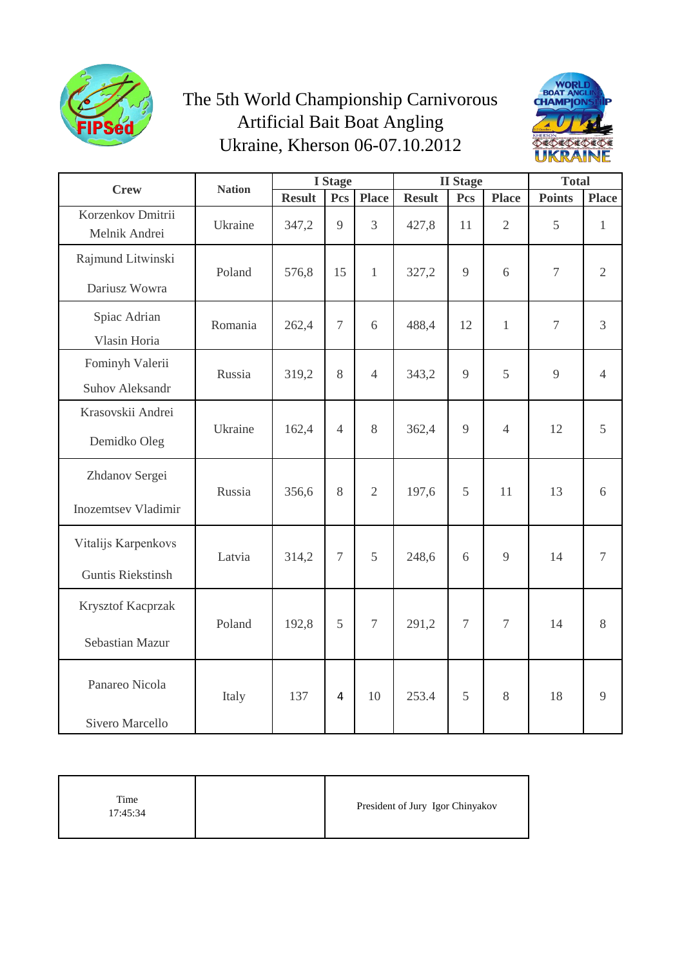

## The 5th World Championship Carnivorous Artificial Bait Boat Angling Ukraine, Kherson 06-07.10.2012



| <b>Crew</b>                                     | <b>Nation</b> | <b>I</b> Stage |                |                | <b>II</b> Stage |                |                  | <b>Total</b>   |                |
|-------------------------------------------------|---------------|----------------|----------------|----------------|-----------------|----------------|------------------|----------------|----------------|
|                                                 |               | <b>Result</b>  | Pcs            | <b>Place</b>   | <b>Result</b>   | Pcs            | <b>Place</b>     | <b>Points</b>  | <b>Place</b>   |
| Korzenkov Dmitrii<br>Melnik Andrei              | Ukraine       | 347,2          | 9              | $\overline{3}$ | 427,8           | 11             | $\overline{2}$   | 5              | $\mathbf{1}$   |
| Rajmund Litwinski<br>Dariusz Wowra              | Poland        | 576,8          | 15             | $\mathbf{1}$   | 327,2           | 9              | 6                | $\overline{7}$ | $\overline{2}$ |
| Spiac Adrian<br>Vlasin Horia                    | Romania       | 262,4          | $\overline{7}$ | 6              | 488,4           | 12             | $\mathbf{1}$     | $\overline{7}$ | 3              |
| Fominyh Valerii<br>Suhov Aleksandr              | Russia        | 319,2          | 8              | $\overline{4}$ | 343,2           | 9              | 5                | 9              | $\overline{4}$ |
| Krasovskii Andrei<br>Demidko Oleg               | Ukraine       | 162,4          | $\overline{4}$ | 8              | 362,4           | 9              | $\overline{4}$   | 12             | 5              |
| Zhdanov Sergei<br><b>Inozemtsev Vladimir</b>    | Russia        | 356,6          | 8              | $\overline{2}$ | 197,6           | 5              | 11               | 13             | 6              |
| Vitalijs Karpenkovs<br><b>Guntis Riekstinsh</b> | Latvia        | 314,2          | $\overline{7}$ | 5              | 248,6           | 6              | 9                | 14             | $\overline{7}$ |
| Krysztof Kacprzak<br>Sebastian Mazur            | Poland        | 192,8          | 5              | $\overline{7}$ | 291,2           | $\overline{7}$ | $\boldsymbol{7}$ | 14             | 8              |
| Panareo Nicola<br>Sivero Marcello               | Italy         | 137            | 4              | 10             | 253.4           | 5              | 8                | 18             | 9              |

| President of Jury Igor Chinyakov |
|----------------------------------|
|                                  |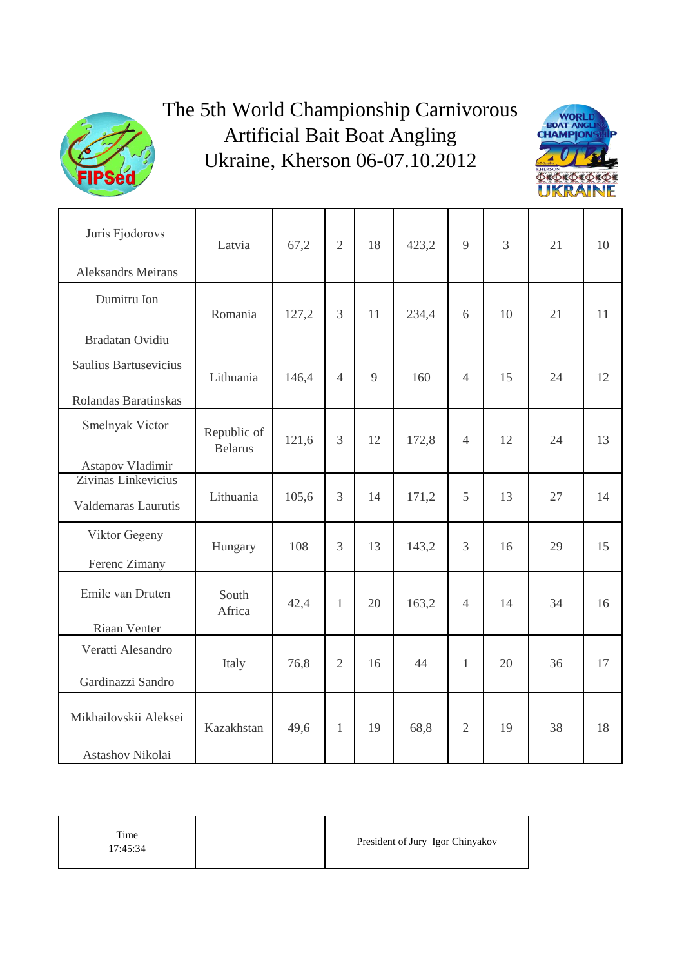

## The 5th World Championship Carnivorous Artificial Bait Boat Angling Ukraine, Kherson 06-07.10.2012



| Juris Fjodorovs<br><b>Aleksandrs Meirans</b>  | Latvia                        | 67,2  | $\overline{2}$ | 18 | 423,2 | 9              | 3  | 21 | 10 |
|-----------------------------------------------|-------------------------------|-------|----------------|----|-------|----------------|----|----|----|
| Dumitru Ion<br>Bradatan Ovidiu                | Romania                       | 127,2 | 3              | 11 | 234,4 | 6              | 10 | 21 | 11 |
| Saulius Bartusevicius<br>Rolandas Baratinskas | Lithuania                     | 146,4 | $\overline{4}$ | 9  | 160   | $\overline{4}$ | 15 | 24 | 12 |
| Smelnyak Victor<br>Astapov Vladimir           | Republic of<br><b>Belarus</b> | 121,6 | $\overline{3}$ | 12 | 172,8 | $\overline{4}$ | 12 | 24 | 13 |
| Zivinas Linkevicius<br>Valdemaras Laurutis    | Lithuania                     | 105,6 | 3              | 14 | 171,2 | 5              | 13 | 27 | 14 |
| Viktor Gegeny<br>Ferenc Zimany                | Hungary                       | 108   | $\overline{3}$ | 13 | 143,2 | 3              | 16 | 29 | 15 |
| Emile van Druten<br>Riaan Venter              | South<br>Africa               | 42,4  | $\mathbf{1}$   | 20 | 163,2 | $\overline{4}$ | 14 | 34 | 16 |
| Veratti Alesandro<br>Gardinazzi Sandro        | Italy                         | 76,8  | $\overline{2}$ | 16 | 44    | $\mathbf{1}$   | 20 | 36 | 17 |
| Mikhailovskii Aleksei<br>Astashov Nikolai     | Kazakhstan                    | 49,6  | $\mathbf{1}$   | 19 | 68,8  | $\overline{2}$ | 19 | 38 | 18 |